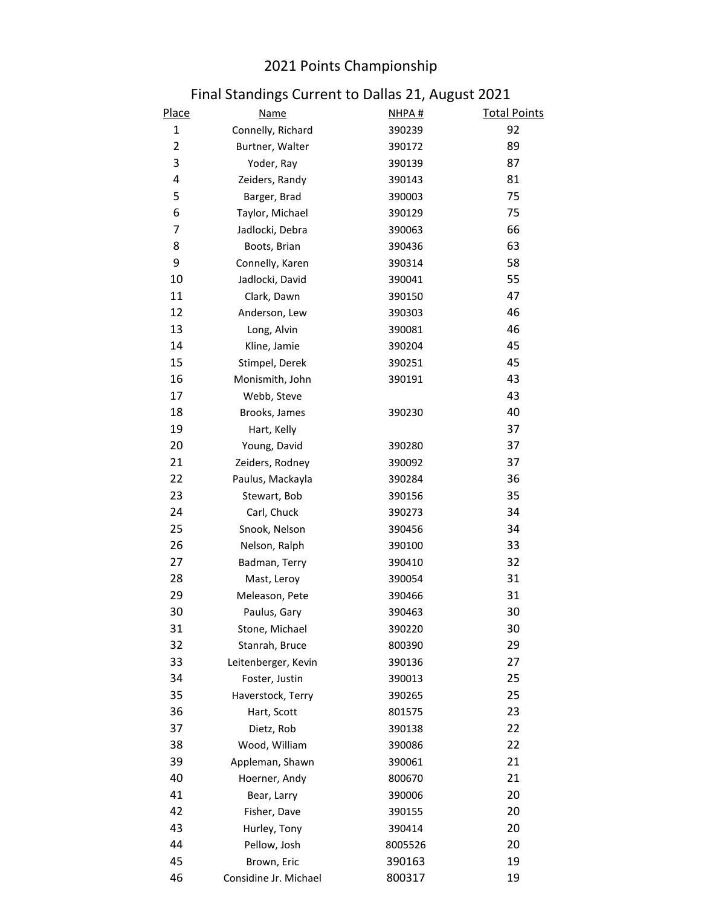## 2021 Points Championship

## Place Name Name NHPA # Total Points Connelly, Richard 390239 92 2 Burtner, Walter 390172 89 Yoder, Ray 390139 87 Zeiders, Randy 390143 81 Barger, Brad 390003 75 Taylor, Michael 390129 75 Jadlocki, Debra 390063 66 Boots, Brian 390436 63 Connelly, Karen 390314 58 Jadlocki, David 390041 55 Clark, Dawn 390150 47 Anderson, Lew 390303 46 13 Long, Alvin 390081 46 Kline, Jamie 390204 45 Stimpel, Derek 390251 45 Monismith, John 390191 43 17 Webb, Steve 43 18 Brooks, James 390230 40 19 Hart, Kelly 37 Young, David 390280 37 Zeiders, Rodney 390092 37 Paulus, Mackayla 390284 36 Stewart, Bob 390156 35 24 Carl, Chuck 390273 34 Snook, Nelson 390456 34 Nelson, Ralph 390100 33 Badman, Terry 390410 32 Mast, Leroy 390054 31 Meleason, Pete 390466 31 Paulus, Gary 390463 30 Stone, Michael 390220 30 Stanrah, Bruce 800390 29 Leitenberger, Kevin 390136 27 Foster, Justin 390013 25 Haverstock, Terry 390265 25 Hart, Scott 801575 23 Dietz, Rob 390138 22 Wood, William 390086 22 Appleman, Shawn 390061 21 Hoerner, Andy 800670 21 Bear, Larry 390006 20 Fisher, Dave 390155 20 Hurley, Tony 390414 20 Pellow, Josh 8005526 20 Brown, Eric 390163 19 46 Considine Jr. Michael 800317 19

## Final Standings Current to Dallas 21, August 2021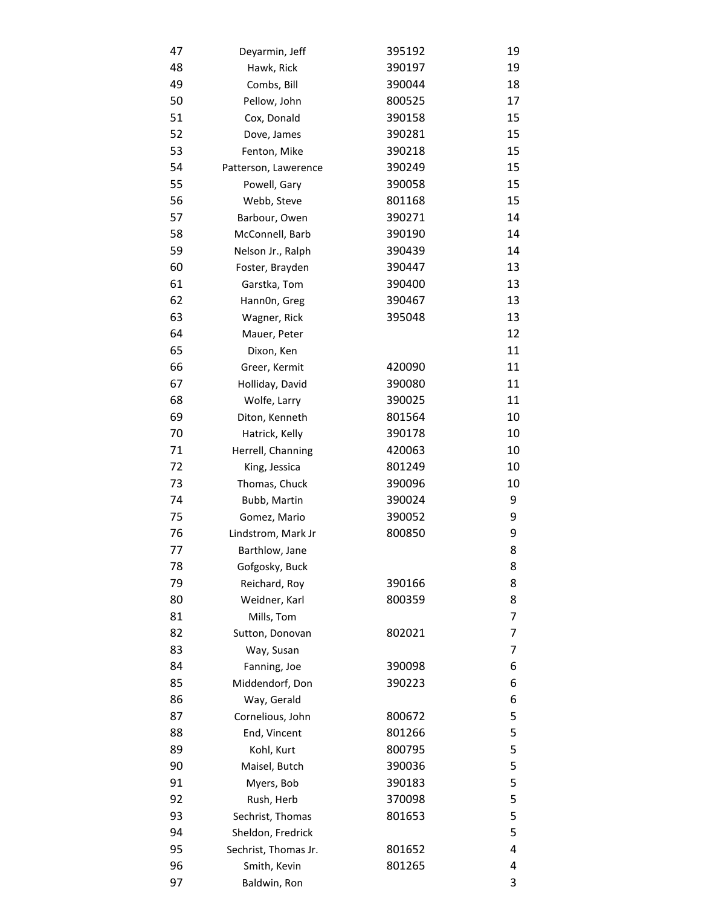| 47 | Deyarmin, Jeff       | 395192 | 19 |
|----|----------------------|--------|----|
| 48 | Hawk, Rick           | 390197 | 19 |
| 49 | Combs, Bill          | 390044 | 18 |
| 50 | Pellow, John         | 800525 | 17 |
| 51 | Cox, Donald          | 390158 | 15 |
| 52 | Dove, James          | 390281 | 15 |
| 53 | Fenton, Mike         | 390218 | 15 |
| 54 | Patterson, Lawerence | 390249 | 15 |
| 55 | Powell, Gary         | 390058 | 15 |
| 56 | Webb, Steve          | 801168 | 15 |
| 57 | Barbour, Owen        | 390271 | 14 |
| 58 | McConnell, Barb      | 390190 | 14 |
| 59 | Nelson Jr., Ralph    | 390439 | 14 |
| 60 | Foster, Brayden      | 390447 | 13 |
| 61 | Garstka, Tom         | 390400 | 13 |
| 62 | HannOn, Greg         | 390467 | 13 |
| 63 | Wagner, Rick         | 395048 | 13 |
| 64 | Mauer, Peter         |        | 12 |
| 65 | Dixon, Ken           |        | 11 |
| 66 | Greer, Kermit        | 420090 | 11 |
| 67 | Holliday, David      | 390080 | 11 |
| 68 | Wolfe, Larry         | 390025 | 11 |
| 69 | Diton, Kenneth       | 801564 | 10 |
| 70 | Hatrick, Kelly       | 390178 | 10 |
| 71 | Herrell, Channing    | 420063 | 10 |
| 72 | King, Jessica        | 801249 | 10 |
| 73 | Thomas, Chuck        | 390096 | 10 |
| 74 | Bubb, Martin         | 390024 | 9  |
| 75 | Gomez, Mario         | 390052 | 9  |
| 76 | Lindstrom, Mark Jr   | 800850 | 9  |
| 77 | Barthlow, Jane       |        | 8  |
| 78 | Gofgosky, Buck       |        | 8  |
| 79 | Reichard, Roy        | 390166 | 8  |
| 80 | Weidner, Karl        | 800359 | 8  |
| 81 | Mills, Tom           |        | 7  |
| 82 | Sutton, Donovan      | 802021 | 7  |
| 83 | Way, Susan           |        | 7  |
| 84 | Fanning, Joe         | 390098 | 6  |
| 85 | Middendorf, Don      | 390223 | 6  |
| 86 | Way, Gerald          |        | 6  |
| 87 | Cornelious, John     | 800672 | 5  |
| 88 | End, Vincent         | 801266 | 5  |
| 89 | Kohl, Kurt           | 800795 | 5  |
| 90 | Maisel, Butch        | 390036 | 5  |
| 91 | Myers, Bob           | 390183 | 5  |
| 92 | Rush, Herb           | 370098 | 5  |
| 93 | Sechrist, Thomas     | 801653 | 5  |
| 94 | Sheldon, Fredrick    |        | 5  |
| 95 | Sechrist, Thomas Jr. | 801652 | 4  |
| 96 | Smith, Kevin         | 801265 | 4  |
| 97 | Baldwin, Ron         |        | 3  |